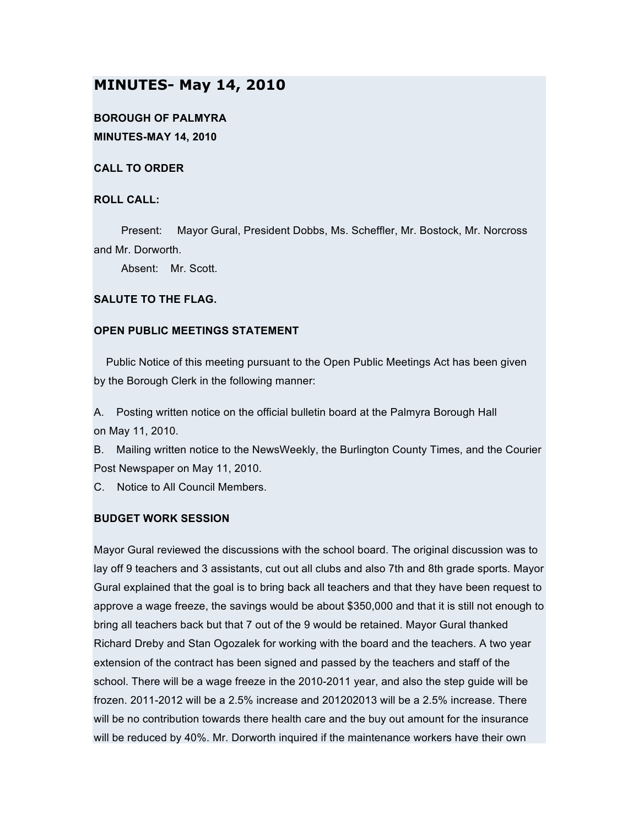# **MINUTES- May 14, 2010**

**BOROUGH OF PALMYRA MINUTES-MAY 14, 2010**

**CALL TO ORDER**

#### **ROLL CALL:**

Present: Mayor Gural, President Dobbs, Ms. Scheffler, Mr. Bostock, Mr. Norcross and Mr. Dorworth.

Absent: Mr. Scott.

### **SALUTE TO THE FLAG.**

#### **OPEN PUBLIC MEETINGS STATEMENT**

Public Notice of this meeting pursuant to the Open Public Meetings Act has been given by the Borough Clerk in the following manner:

A. Posting written notice on the official bulletin board at the Palmyra Borough Hall on May 11, 2010.

B. Mailing written notice to the NewsWeekly, the Burlington County Times, and the Courier Post Newspaper on May 11, 2010.

C. Notice to All Council Members.

#### **BUDGET WORK SESSION**

Mayor Gural reviewed the discussions with the school board. The original discussion was to lay off 9 teachers and 3 assistants, cut out all clubs and also 7th and 8th grade sports. Mayor Gural explained that the goal is to bring back all teachers and that they have been request to approve a wage freeze, the savings would be about \$350,000 and that it is still not enough to bring all teachers back but that 7 out of the 9 would be retained. Mayor Gural thanked Richard Dreby and Stan Ogozalek for working with the board and the teachers. A two year extension of the contract has been signed and passed by the teachers and staff of the school. There will be a wage freeze in the 2010-2011 year, and also the step guide will be frozen. 2011-2012 will be a 2.5% increase and 201202013 will be a 2.5% increase. There will be no contribution towards there health care and the buy out amount for the insurance will be reduced by 40%. Mr. Dorworth inquired if the maintenance workers have their own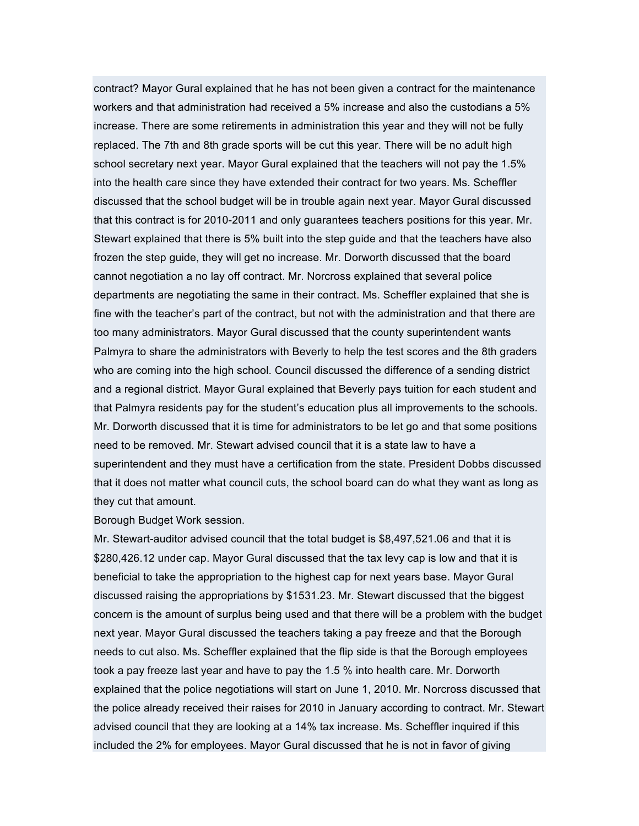contract? Mayor Gural explained that he has not been given a contract for the maintenance workers and that administration had received a 5% increase and also the custodians a 5% increase. There are some retirements in administration this year and they will not be fully replaced. The 7th and 8th grade sports will be cut this year. There will be no adult high school secretary next year. Mayor Gural explained that the teachers will not pay the 1.5% into the health care since they have extended their contract for two years. Ms. Scheffler discussed that the school budget will be in trouble again next year. Mayor Gural discussed that this contract is for 2010-2011 and only guarantees teachers positions for this year. Mr. Stewart explained that there is 5% built into the step guide and that the teachers have also frozen the step guide, they will get no increase. Mr. Dorworth discussed that the board cannot negotiation a no lay off contract. Mr. Norcross explained that several police departments are negotiating the same in their contract. Ms. Scheffler explained that she is fine with the teacher's part of the contract, but not with the administration and that there are too many administrators. Mayor Gural discussed that the county superintendent wants Palmyra to share the administrators with Beverly to help the test scores and the 8th graders who are coming into the high school. Council discussed the difference of a sending district and a regional district. Mayor Gural explained that Beverly pays tuition for each student and that Palmyra residents pay for the student's education plus all improvements to the schools. Mr. Dorworth discussed that it is time for administrators to be let go and that some positions need to be removed. Mr. Stewart advised council that it is a state law to have a superintendent and they must have a certification from the state. President Dobbs discussed that it does not matter what council cuts, the school board can do what they want as long as they cut that amount.

Borough Budget Work session.

Mr. Stewart-auditor advised council that the total budget is \$8,497,521.06 and that it is \$280,426.12 under cap. Mayor Gural discussed that the tax levy cap is low and that it is beneficial to take the appropriation to the highest cap for next years base. Mayor Gural discussed raising the appropriations by \$1531.23. Mr. Stewart discussed that the biggest concern is the amount of surplus being used and that there will be a problem with the budget next year. Mayor Gural discussed the teachers taking a pay freeze and that the Borough needs to cut also. Ms. Scheffler explained that the flip side is that the Borough employees took a pay freeze last year and have to pay the 1.5 % into health care. Mr. Dorworth explained that the police negotiations will start on June 1, 2010. Mr. Norcross discussed that the police already received their raises for 2010 in January according to contract. Mr. Stewart advised council that they are looking at a 14% tax increase. Ms. Scheffler inquired if this included the 2% for employees. Mayor Gural discussed that he is not in favor of giving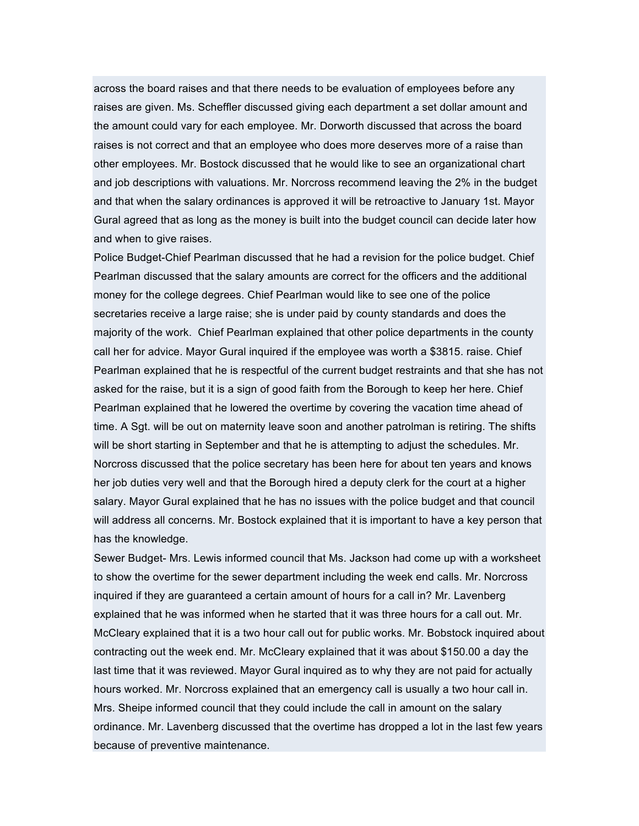across the board raises and that there needs to be evaluation of employees before any raises are given. Ms. Scheffler discussed giving each department a set dollar amount and the amount could vary for each employee. Mr. Dorworth discussed that across the board raises is not correct and that an employee who does more deserves more of a raise than other employees. Mr. Bostock discussed that he would like to see an organizational chart and job descriptions with valuations. Mr. Norcross recommend leaving the 2% in the budget and that when the salary ordinances is approved it will be retroactive to January 1st. Mayor Gural agreed that as long as the money is built into the budget council can decide later how and when to give raises.

Police Budget-Chief Pearlman discussed that he had a revision for the police budget. Chief Pearlman discussed that the salary amounts are correct for the officers and the additional money for the college degrees. Chief Pearlman would like to see one of the police secretaries receive a large raise; she is under paid by county standards and does the majority of the work. Chief Pearlman explained that other police departments in the county call her for advice. Mayor Gural inquired if the employee was worth a \$3815. raise. Chief Pearlman explained that he is respectful of the current budget restraints and that she has not asked for the raise, but it is a sign of good faith from the Borough to keep her here. Chief Pearlman explained that he lowered the overtime by covering the vacation time ahead of time. A Sgt. will be out on maternity leave soon and another patrolman is retiring. The shifts will be short starting in September and that he is attempting to adjust the schedules. Mr. Norcross discussed that the police secretary has been here for about ten years and knows her job duties very well and that the Borough hired a deputy clerk for the court at a higher salary. Mayor Gural explained that he has no issues with the police budget and that council will address all concerns. Mr. Bostock explained that it is important to have a key person that has the knowledge.

Sewer Budget- Mrs. Lewis informed council that Ms. Jackson had come up with a worksheet to show the overtime for the sewer department including the week end calls. Mr. Norcross inquired if they are guaranteed a certain amount of hours for a call in? Mr. Lavenberg explained that he was informed when he started that it was three hours for a call out. Mr. McCleary explained that it is a two hour call out for public works. Mr. Bobstock inquired about contracting out the week end. Mr. McCleary explained that it was about \$150.00 a day the last time that it was reviewed. Mayor Gural inquired as to why they are not paid for actually hours worked. Mr. Norcross explained that an emergency call is usually a two hour call in. Mrs. Sheipe informed council that they could include the call in amount on the salary ordinance. Mr. Lavenberg discussed that the overtime has dropped a lot in the last few years because of preventive maintenance.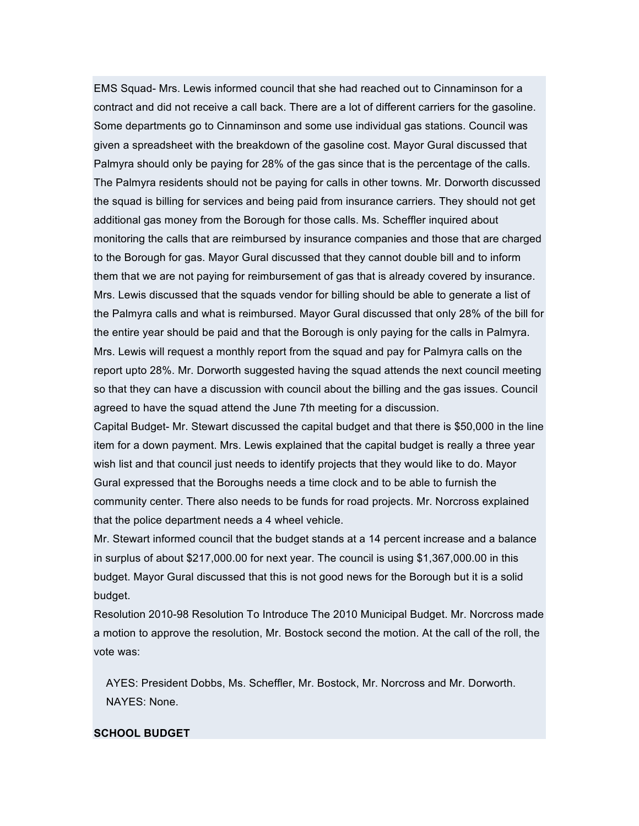EMS Squad- Mrs. Lewis informed council that she had reached out to Cinnaminson for a contract and did not receive a call back. There are a lot of different carriers for the gasoline. Some departments go to Cinnaminson and some use individual gas stations. Council was given a spreadsheet with the breakdown of the gasoline cost. Mayor Gural discussed that Palmyra should only be paying for 28% of the gas since that is the percentage of the calls. The Palmyra residents should not be paying for calls in other towns. Mr. Dorworth discussed the squad is billing for services and being paid from insurance carriers. They should not get additional gas money from the Borough for those calls. Ms. Scheffler inquired about monitoring the calls that are reimbursed by insurance companies and those that are charged to the Borough for gas. Mayor Gural discussed that they cannot double bill and to inform them that we are not paying for reimbursement of gas that is already covered by insurance. Mrs. Lewis discussed that the squads vendor for billing should be able to generate a list of the Palmyra calls and what is reimbursed. Mayor Gural discussed that only 28% of the bill for the entire year should be paid and that the Borough is only paying for the calls in Palmyra. Mrs. Lewis will request a monthly report from the squad and pay for Palmyra calls on the report upto 28%. Mr. Dorworth suggested having the squad attends the next council meeting so that they can have a discussion with council about the billing and the gas issues. Council agreed to have the squad attend the June 7th meeting for a discussion.

Capital Budget- Mr. Stewart discussed the capital budget and that there is \$50,000 in the line item for a down payment. Mrs. Lewis explained that the capital budget is really a three year wish list and that council just needs to identify projects that they would like to do. Mayor Gural expressed that the Boroughs needs a time clock and to be able to furnish the community center. There also needs to be funds for road projects. Mr. Norcross explained that the police department needs a 4 wheel vehicle.

Mr. Stewart informed council that the budget stands at a 14 percent increase and a balance in surplus of about \$217,000.00 for next year. The council is using \$1,367,000.00 in this budget. Mayor Gural discussed that this is not good news for the Borough but it is a solid budget.

Resolution 2010-98 Resolution To Introduce The 2010 Municipal Budget. Mr. Norcross made a motion to approve the resolution, Mr. Bostock second the motion. At the call of the roll, the vote was:

AYES: President Dobbs, Ms. Scheffler, Mr. Bostock, Mr. Norcross and Mr. Dorworth. NAYES: None.

#### **SCHOOL BUDGET**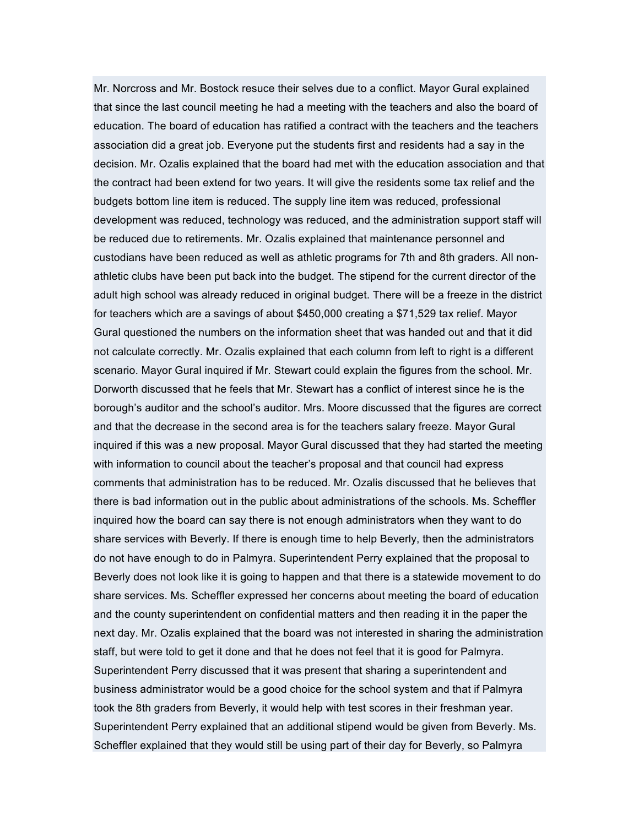Mr. Norcross and Mr. Bostock resuce their selves due to a conflict. Mayor Gural explained that since the last council meeting he had a meeting with the teachers and also the board of education. The board of education has ratified a contract with the teachers and the teachers association did a great job. Everyone put the students first and residents had a say in the decision. Mr. Ozalis explained that the board had met with the education association and that the contract had been extend for two years. It will give the residents some tax relief and the budgets bottom line item is reduced. The supply line item was reduced, professional development was reduced, technology was reduced, and the administration support staff will be reduced due to retirements. Mr. Ozalis explained that maintenance personnel and custodians have been reduced as well as athletic programs for 7th and 8th graders. All nonathletic clubs have been put back into the budget. The stipend for the current director of the adult high school was already reduced in original budget. There will be a freeze in the district for teachers which are a savings of about \$450,000 creating a \$71,529 tax relief. Mayor Gural questioned the numbers on the information sheet that was handed out and that it did not calculate correctly. Mr. Ozalis explained that each column from left to right is a different scenario. Mayor Gural inquired if Mr. Stewart could explain the figures from the school. Mr. Dorworth discussed that he feels that Mr. Stewart has a conflict of interest since he is the borough's auditor and the school's auditor. Mrs. Moore discussed that the figures are correct and that the decrease in the second area is for the teachers salary freeze. Mayor Gural inquired if this was a new proposal. Mayor Gural discussed that they had started the meeting with information to council about the teacher's proposal and that council had express comments that administration has to be reduced. Mr. Ozalis discussed that he believes that there is bad information out in the public about administrations of the schools. Ms. Scheffler inquired how the board can say there is not enough administrators when they want to do share services with Beverly. If there is enough time to help Beverly, then the administrators do not have enough to do in Palmyra. Superintendent Perry explained that the proposal to Beverly does not look like it is going to happen and that there is a statewide movement to do share services. Ms. Scheffler expressed her concerns about meeting the board of education and the county superintendent on confidential matters and then reading it in the paper the next day. Mr. Ozalis explained that the board was not interested in sharing the administration staff, but were told to get it done and that he does not feel that it is good for Palmyra. Superintendent Perry discussed that it was present that sharing a superintendent and business administrator would be a good choice for the school system and that if Palmyra took the 8th graders from Beverly, it would help with test scores in their freshman year. Superintendent Perry explained that an additional stipend would be given from Beverly. Ms. Scheffler explained that they would still be using part of their day for Beverly, so Palmyra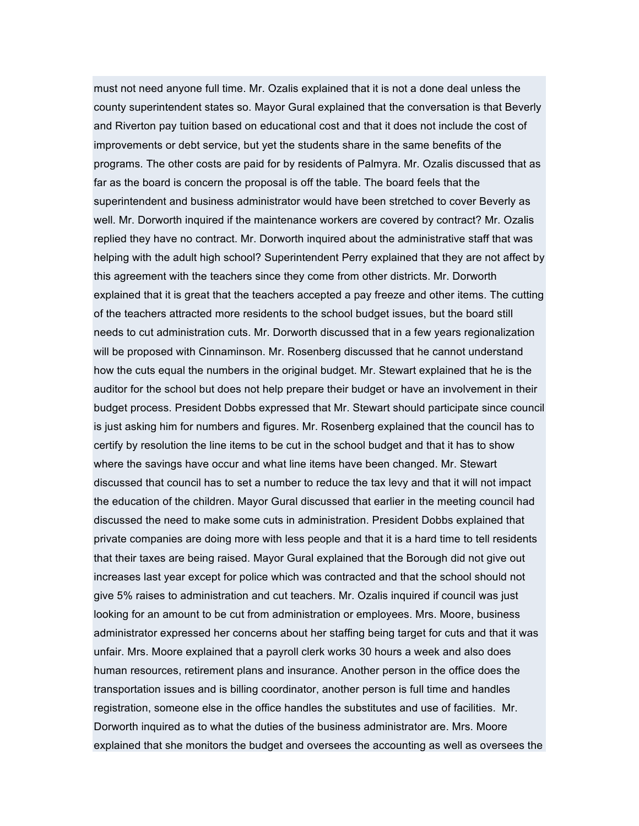must not need anyone full time. Mr. Ozalis explained that it is not a done deal unless the county superintendent states so. Mayor Gural explained that the conversation is that Beverly and Riverton pay tuition based on educational cost and that it does not include the cost of improvements or debt service, but yet the students share in the same benefits of the programs. The other costs are paid for by residents of Palmyra. Mr. Ozalis discussed that as far as the board is concern the proposal is off the table. The board feels that the superintendent and business administrator would have been stretched to cover Beverly as well. Mr. Dorworth inquired if the maintenance workers are covered by contract? Mr. Ozalis replied they have no contract. Mr. Dorworth inquired about the administrative staff that was helping with the adult high school? Superintendent Perry explained that they are not affect by this agreement with the teachers since they come from other districts. Mr. Dorworth explained that it is great that the teachers accepted a pay freeze and other items. The cutting of the teachers attracted more residents to the school budget issues, but the board still needs to cut administration cuts. Mr. Dorworth discussed that in a few years regionalization will be proposed with Cinnaminson. Mr. Rosenberg discussed that he cannot understand how the cuts equal the numbers in the original budget. Mr. Stewart explained that he is the auditor for the school but does not help prepare their budget or have an involvement in their budget process. President Dobbs expressed that Mr. Stewart should participate since council is just asking him for numbers and figures. Mr. Rosenberg explained that the council has to certify by resolution the line items to be cut in the school budget and that it has to show where the savings have occur and what line items have been changed. Mr. Stewart discussed that council has to set a number to reduce the tax levy and that it will not impact the education of the children. Mayor Gural discussed that earlier in the meeting council had discussed the need to make some cuts in administration. President Dobbs explained that private companies are doing more with less people and that it is a hard time to tell residents that their taxes are being raised. Mayor Gural explained that the Borough did not give out increases last year except for police which was contracted and that the school should not give 5% raises to administration and cut teachers. Mr. Ozalis inquired if council was just looking for an amount to be cut from administration or employees. Mrs. Moore, business administrator expressed her concerns about her staffing being target for cuts and that it was unfair. Mrs. Moore explained that a payroll clerk works 30 hours a week and also does human resources, retirement plans and insurance. Another person in the office does the transportation issues and is billing coordinator, another person is full time and handles registration, someone else in the office handles the substitutes and use of facilities. Mr. Dorworth inquired as to what the duties of the business administrator are. Mrs. Moore explained that she monitors the budget and oversees the accounting as well as oversees the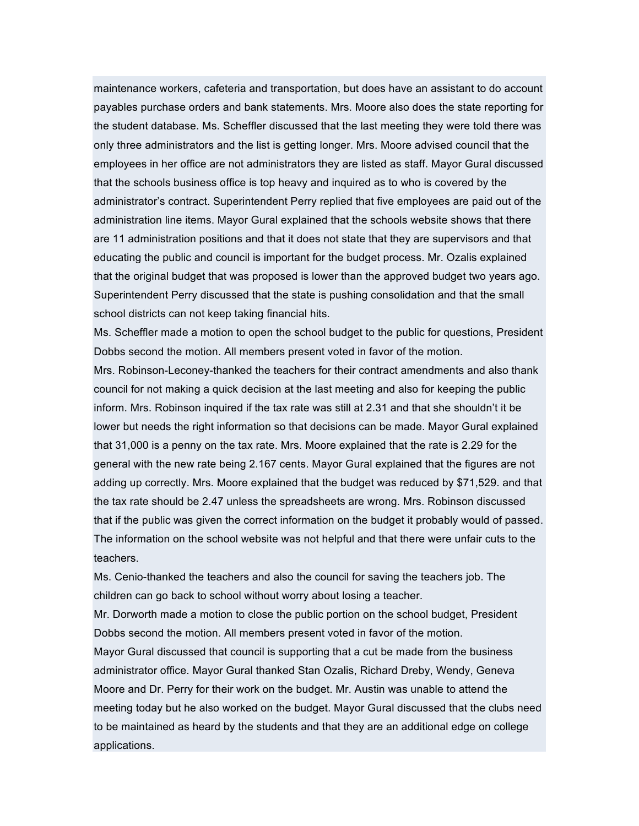maintenance workers, cafeteria and transportation, but does have an assistant to do account payables purchase orders and bank statements. Mrs. Moore also does the state reporting for the student database. Ms. Scheffler discussed that the last meeting they were told there was only three administrators and the list is getting longer. Mrs. Moore advised council that the employees in her office are not administrators they are listed as staff. Mayor Gural discussed that the schools business office is top heavy and inquired as to who is covered by the administrator's contract. Superintendent Perry replied that five employees are paid out of the administration line items. Mayor Gural explained that the schools website shows that there are 11 administration positions and that it does not state that they are supervisors and that educating the public and council is important for the budget process. Mr. Ozalis explained that the original budget that was proposed is lower than the approved budget two years ago. Superintendent Perry discussed that the state is pushing consolidation and that the small school districts can not keep taking financial hits.

Ms. Scheffler made a motion to open the school budget to the public for questions, President Dobbs second the motion. All members present voted in favor of the motion.

Mrs. Robinson-Leconey-thanked the teachers for their contract amendments and also thank council for not making a quick decision at the last meeting and also for keeping the public inform. Mrs. Robinson inquired if the tax rate was still at 2.31 and that she shouldn't it be lower but needs the right information so that decisions can be made. Mayor Gural explained that 31,000 is a penny on the tax rate. Mrs. Moore explained that the rate is 2.29 for the general with the new rate being 2.167 cents. Mayor Gural explained that the figures are not adding up correctly. Mrs. Moore explained that the budget was reduced by \$71,529. and that the tax rate should be 2.47 unless the spreadsheets are wrong. Mrs. Robinson discussed that if the public was given the correct information on the budget it probably would of passed. The information on the school website was not helpful and that there were unfair cuts to the teachers.

Ms. Cenio-thanked the teachers and also the council for saving the teachers job. The children can go back to school without worry about losing a teacher.

Mr. Dorworth made a motion to close the public portion on the school budget, President Dobbs second the motion. All members present voted in favor of the motion.

Mayor Gural discussed that council is supporting that a cut be made from the business administrator office. Mayor Gural thanked Stan Ozalis, Richard Dreby, Wendy, Geneva Moore and Dr. Perry for their work on the budget. Mr. Austin was unable to attend the meeting today but he also worked on the budget. Mayor Gural discussed that the clubs need to be maintained as heard by the students and that they are an additional edge on college applications.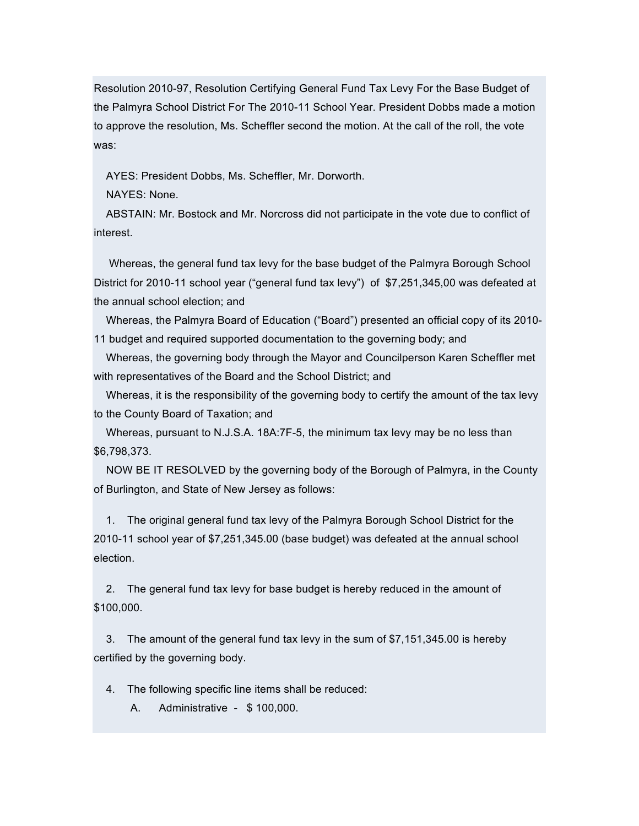Resolution 2010-97, Resolution Certifying General Fund Tax Levy For the Base Budget of the Palmyra School District For The 2010-11 School Year. President Dobbs made a motion to approve the resolution, Ms. Scheffler second the motion. At the call of the roll, the vote was:

AYES: President Dobbs, Ms. Scheffler, Mr. Dorworth.

NAYES: None.

ABSTAIN: Mr. Bostock and Mr. Norcross did not participate in the vote due to conflict of interest.

Whereas, the general fund tax levy for the base budget of the Palmyra Borough School District for 2010-11 school year ("general fund tax levy") of \$7,251,345,00 was defeated at the annual school election; and

Whereas, the Palmyra Board of Education ("Board") presented an official copy of its 2010- 11 budget and required supported documentation to the governing body; and

Whereas, the governing body through the Mayor and Councilperson Karen Scheffler met with representatives of the Board and the School District; and

Whereas, it is the responsibility of the governing body to certify the amount of the tax levy to the County Board of Taxation; and

Whereas, pursuant to N.J.S.A. 18A:7F-5, the minimum tax levy may be no less than \$6,798,373.

NOW BE IT RESOLVED by the governing body of the Borough of Palmyra, in the County of Burlington, and State of New Jersey as follows:

1. The original general fund tax levy of the Palmyra Borough School District for the 2010-11 school year of \$7,251,345.00 (base budget) was defeated at the annual school election.

2. The general fund tax levy for base budget is hereby reduced in the amount of \$100,000.

3. The amount of the general fund tax levy in the sum of \$7,151,345.00 is hereby certified by the governing body.

4. The following specific line items shall be reduced:

A. Administrative - \$ 100,000.